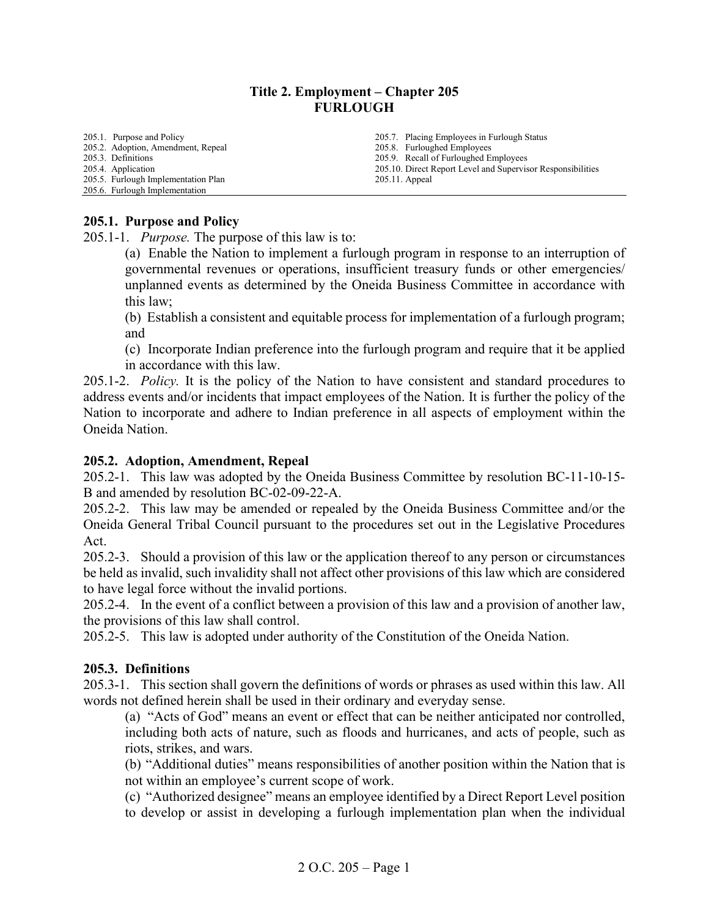### **Title 2. Employment – Chapter 205 FURLOUGH**

205.1. [Purpose and Policy](#page-0-0) [205.2. Adoption, Amendment, Repeal](#page-0-1) [205.3. Definitions](#page-0-2) [205.4. Application](#page-4-0) 205.5. Furlough Implementation Plan 205.6. Furlough Implementation 205.7. Placing Employees in Furlough Status 205.8. Furloughed Employees [205.9. Recall of Furloughed Employees](#page-11-0) 205.10. [Direct Report Level and Supervisor Responsibilities](#page-11-1) 205.11. Appeal

#### <span id="page-0-0"></span>**205.1. Purpose and Policy**

205.1-1. *Purpose.* The purpose of this law is to:

(a) Enable the Nation to implement a furlough program in response to an interruption of governmental revenues or operations, insufficient treasury funds or other emergencies/ unplanned events as determined by the Oneida Business Committee in accordance with this law;

(b) Establish a consistent and equitable process for implementation of a furlough program; and

(c) Incorporate Indian preference into the furlough program and require that it be applied in accordance with this law.

205.1-2. *Policy.* It is the policy of the Nation to have consistent and standard procedures to address events and/or incidents that impact employees of the Nation. It is further the policy of the Nation to incorporate and adhere to Indian preference in all aspects of employment within the Oneida Nation.

#### <span id="page-0-1"></span>**205.2. Adoption, Amendment, Repeal**

205.2-1. This law was adopted by the Oneida Business Committee by resolution BC-11-10-15- B and amended by resolution BC-02-09-22-A.

205.2-2. This law may be amended or repealed by the Oneida Business Committee and/or the Oneida General Tribal Council pursuant to the procedures set out in the Legislative Procedures Act.

205.2-3. Should a provision of this law or the application thereof to any person or circumstances be held as invalid, such invalidity shall not affect other provisions of this law which are considered to have legal force without the invalid portions.

205.2-4. In the event of a conflict between a provision of this law and a provision of another law, the provisions of this law shall control.

205.2-5. This law is adopted under authority of the Constitution of the Oneida Nation.

### <span id="page-0-2"></span>**205.3. Definitions**

205.3-1. This section shall govern the definitions of words or phrases as used within this law. All words not defined herein shall be used in their ordinary and everyday sense.

(a) "Acts of God" means an event or effect that can be neither anticipated nor controlled, including both acts of nature, such as floods and hurricanes, and acts of people, such as riots, strikes, and wars.

(b) "Additional duties" means responsibilities of another position within the Nation that is not within an employee's current scope of work.

(c) "Authorized designee" means an employee identified by a Direct Report Level position to develop or assist in developing a furlough implementation plan when the individual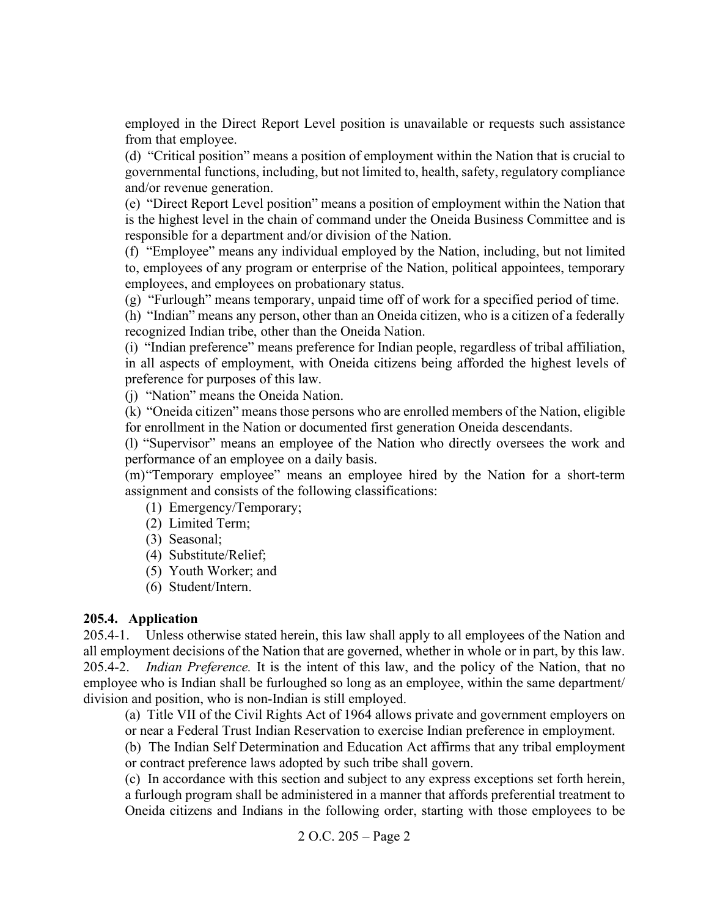employed in the Direct Report Level position is unavailable or requests such assistance from that employee.

(d) "Critical position" means a position of employment within the Nation that is crucial to governmental functions, including, but not limited to, health, safety, regulatory compliance and/or revenue generation.

(e) "Direct Report Level position" means a position of employment within the Nation that is the highest level in the chain of command under the Oneida Business Committee and is responsible for a department and/or division of the Nation.

(f) "Employee" means any individual employed by the Nation, including, but not limited to, employees of any program or enterprise of the Nation, political appointees, temporary employees, and employees on probationary status.

(g) "Furlough" means temporary, unpaid time off of work for a specified period of time.

(h) "Indian" means any person, other than an Oneida citizen, who is a citizen of a federally recognized Indian tribe, other than the Oneida Nation.

(i) "Indian preference" means preference for Indian people, regardless of tribal affiliation, in all aspects of employment, with Oneida citizens being afforded the highest levels of preference for purposes of this law.

(j) "Nation" means the Oneida Nation.

(k) "Oneida citizen" means those persons who are enrolled members of the Nation, eligible for enrollment in the Nation or documented first generation Oneida descendants.

(l) "Supervisor" means an employee of the Nation who directly oversees the work and performance of an employee on a daily basis.

(m)"Temporary employee" means an employee hired by the Nation for a short-term assignment and consists of the following classifications:

- (1) Emergency/Temporary;
- (2) Limited Term;
- (3) Seasonal;
- (4) Substitute/Relief;
- (5) Youth Worker; and
- (6) Student/Intern.

# **205.4. Application**

205.4-1. Unless otherwise stated herein, this law shall apply to all employees of the Nation and all employment decisions of the Nation that are governed, whether in whole or in part, by this law. 205.4-2. *Indian Preference.* It is the intent of this law, and the policy of the Nation, that no employee who is Indian shall be furloughed so long as an employee, within the same department/ division and position, who is non-Indian is still employed.

(a) Title VII of the Civil Rights Act of 1964 allows private and government employers on or near a Federal Trust Indian Reservation to exercise Indian preference in employment.

(b) The Indian Self Determination and Education Act affirms that any tribal employment or contract preference laws adopted by such tribe shall govern.

(c) In accordance with this section and subject to any express exceptions set forth herein, a furlough program shall be administered in a manner that affords preferential treatment to Oneida citizens and Indians in the following order, starting with those employees to be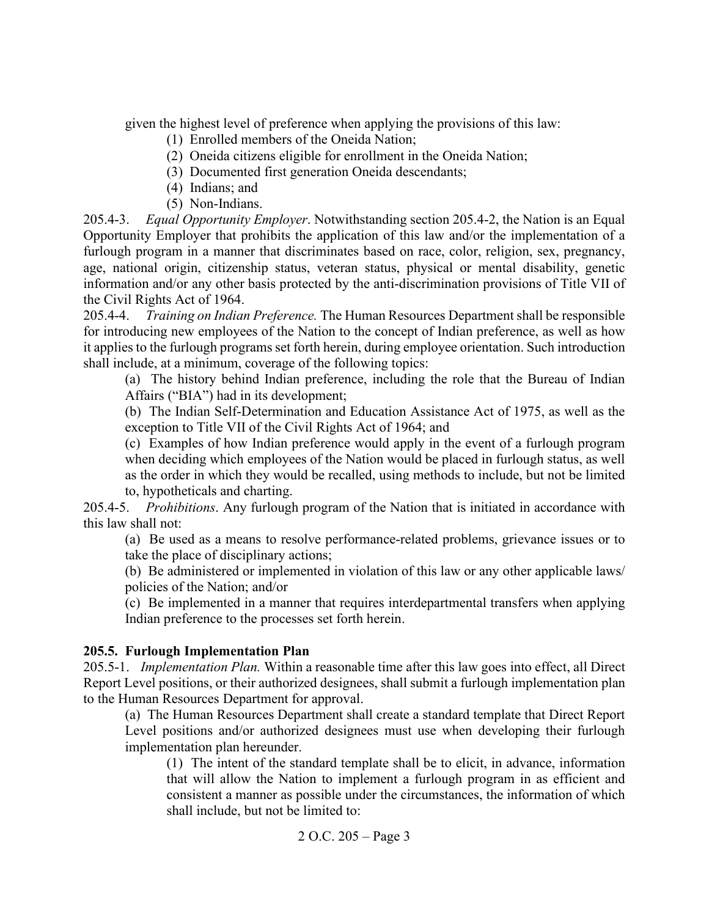given the highest level of preference when applying the provisions of this law:

- (1) Enrolled members of the Oneida Nation;
- (2) Oneida citizens eligible for enrollment in the Oneida Nation;
- (3) Documented first generation Oneida descendants;
- (4) Indians; and
- (5) Non-Indians.

205.4-3. *Equal Opportunity Employer*. Notwithstanding section 205.4-2, the Nation is an Equal Opportunity Employer that prohibits the application of this law and/or the implementation of a furlough program in a manner that discriminates based on race, color, religion, sex, pregnancy, age, national origin, citizenship status, veteran status, physical or mental disability, genetic information and/or any other basis protected by the anti-discrimination provisions of Title VII of the Civil Rights Act of 1964.

205.4-4. *Training on Indian Preference.* The Human Resources Department shall be responsible for introducing new employees of the Nation to the concept of Indian preference, as well as how it applies to the furlough programs set forth herein, during employee orientation. Such introduction shall include, at a minimum, coverage of the following topics:

(a) The history behind Indian preference, including the role that the Bureau of Indian Affairs ("BIA") had in its development;

(b) The Indian Self-Determination and Education Assistance Act of 1975, as well as the exception to Title VII of the Civil Rights Act of 1964; and

(c) Examples of how Indian preference would apply in the event of a furlough program when deciding which employees of the Nation would be placed in furlough status, as well as the order in which they would be recalled, using methods to include, but not be limited to, hypotheticals and charting.

205.4-5. *Prohibitions*. Any furlough program of the Nation that is initiated in accordance with this law shall not:

(a) Be used as a means to resolve performance-related problems, grievance issues or to take the place of disciplinary actions;

(b) Be administered or implemented in violation of this law or any other applicable laws/ policies of the Nation; and/or

(c) Be implemented in a manner that requires interdepartmental transfers when applying Indian preference to the processes set forth herein.

# **205.5. Furlough Implementation Plan**

205.5-1. *Implementation Plan.* Within a reasonable time after this law goes into effect, all Direct Report Level positions, or their authorized designees, shall submit a furlough implementation plan to the Human Resources Department for approval.

(a) The Human Resources Department shall create a standard template that Direct Report Level positions and/or authorized designees must use when developing their furlough implementation plan hereunder.

(1) The intent of the standard template shall be to elicit, in advance, information that will allow the Nation to implement a furlough program in as efficient and consistent a manner as possible under the circumstances, the information of which shall include, but not be limited to: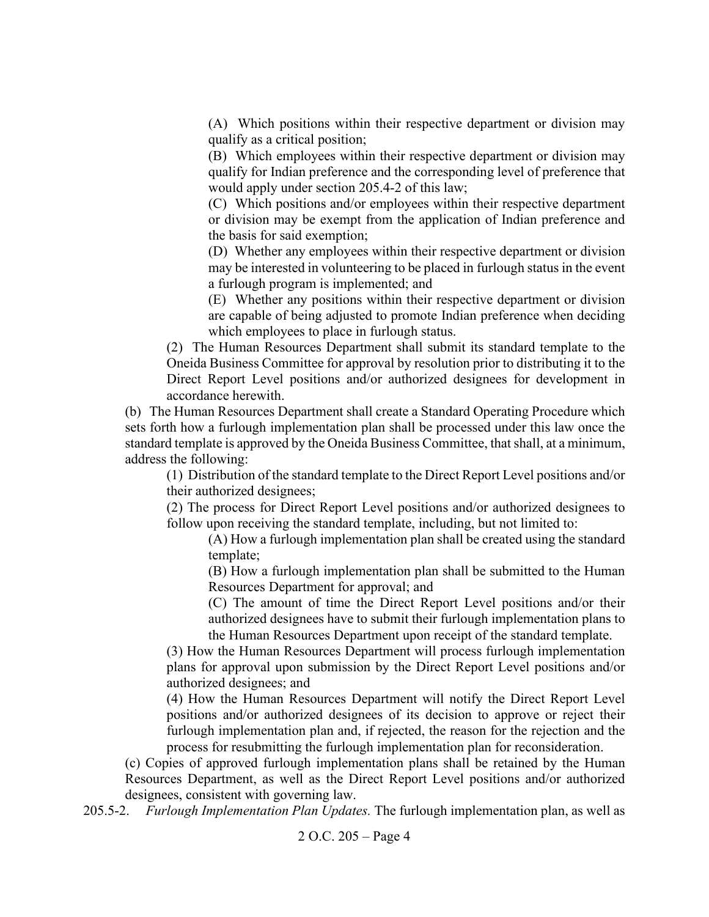(A) Which positions within their respective department or division may qualify as a critical position;

(B) Which employees within their respective department or division may qualify for Indian preference and the corresponding level of preference that would apply under section 205.4-2 of this law;

(C) Which positions and/or employees within their respective department or division may be exempt from the application of Indian preference and the basis for said exemption;

(D) Whether any employees within their respective department or division may be interested in volunteering to be placed in furlough status in the event a furlough program is implemented; and

(E) Whether any positions within their respective department or division are capable of being adjusted to promote Indian preference when deciding which employees to place in furlough status.

(2) The Human Resources Department shall submit its standard template to the Oneida Business Committee for approval by resolution prior to distributing it to the Direct Report Level positions and/or authorized designees for development in accordance herewith.

(b) The Human Resources Department shall create a Standard Operating Procedure which sets forth how a furlough implementation plan shall be processed under this law once the standard template is approved by the Oneida Business Committee, that shall, at a minimum, address the following:

(1) Distribution of the standard template to the Direct Report Level positions and/or their authorized designees;

(2) The process for Direct Report Level positions and/or authorized designees to follow upon receiving the standard template, including, but not limited to:

(A) How a furlough implementation plan shall be created using the standard template;

(B) How a furlough implementation plan shall be submitted to the Human Resources Department for approval; and

(C) The amount of time the Direct Report Level positions and/or their authorized designees have to submit their furlough implementation plans to the Human Resources Department upon receipt of the standard template.

(3) How the Human Resources Department will process furlough implementation plans for approval upon submission by the Direct Report Level positions and/or authorized designees; and

(4) How the Human Resources Department will notify the Direct Report Level positions and/or authorized designees of its decision to approve or reject their furlough implementation plan and, if rejected, the reason for the rejection and the process for resubmitting the furlough implementation plan for reconsideration.

(c) Copies of approved furlough implementation plans shall be retained by the Human Resources Department, as well as the Direct Report Level positions and/or authorized designees, consistent with governing law.

205.5-2. *Furlough Implementation Plan Updates.* The furlough implementation plan, as well as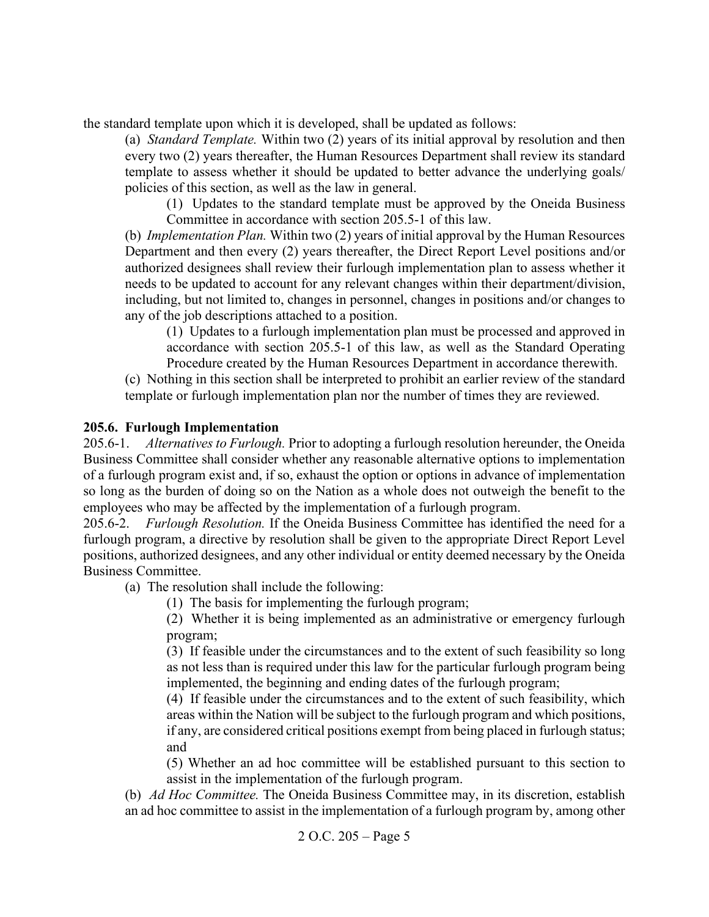the standard template upon which it is developed, shall be updated as follows:

(a) *Standard Template.* Within two (2) years of its initial approval by resolution and then every two (2) years thereafter, the Human Resources Department shall review its standard template to assess whether it should be updated to better advance the underlying goals/ policies of this section, as well as the law in general.

(1) Updates to the standard template must be approved by the Oneida Business Committee in accordance with section 205.5-1 of this law.

(b) *Implementation Plan.* Within two (2) years of initial approval by the Human Resources Department and then every (2) years thereafter, the Direct Report Level positions and/or authorized designees shall review their furlough implementation plan to assess whether it needs to be updated to account for any relevant changes within their department/division, including, but not limited to, changes in personnel, changes in positions and/or changes to any of the job descriptions attached to a position.

(1) Updates to a furlough implementation plan must be processed and approved in accordance with section 205.5-1 of this law, as well as the Standard Operating Procedure created by the Human Resources Department in accordance therewith.

(c) Nothing in this section shall be interpreted to prohibit an earlier review of the standard template or furlough implementation plan nor the number of times they are reviewed.

# <span id="page-4-0"></span>**205.6. Furlough Implementation**

205.6-1. *Alternatives to Furlough.* Prior to adopting a furlough resolution hereunder, the Oneida Business Committee shall consider whether any reasonable alternative options to implementation of a furlough program exist and, if so, exhaust the option or options in advance of implementation so long as the burden of doing so on the Nation as a whole does not outweigh the benefit to the employees who may be affected by the implementation of a furlough program.

205.6-2. *Furlough Resolution.* If the Oneida Business Committee has identified the need for a furlough program, a directive by resolution shall be given to the appropriate Direct Report Level positions, authorized designees, and any other individual or entity deemed necessary by the Oneida Business Committee.

(a) The resolution shall include the following:

(1) The basis for implementing the furlough program;

(2) Whether it is being implemented as an administrative or emergency furlough program;

(3) If feasible under the circumstances and to the extent of such feasibility so long as not less than is required under this law for the particular furlough program being implemented, the beginning and ending dates of the furlough program;

(4) If feasible under the circumstances and to the extent of such feasibility, which areas within the Nation will be subject to the furlough program and which positions, if any, are considered critical positions exempt from being placed in furlough status; and

(5) Whether an ad hoc committee will be established pursuant to this section to assist in the implementation of the furlough program.

(b) *Ad Hoc Committee.* The Oneida Business Committee may, in its discretion, establish an ad hoc committee to assist in the implementation of a furlough program by, among other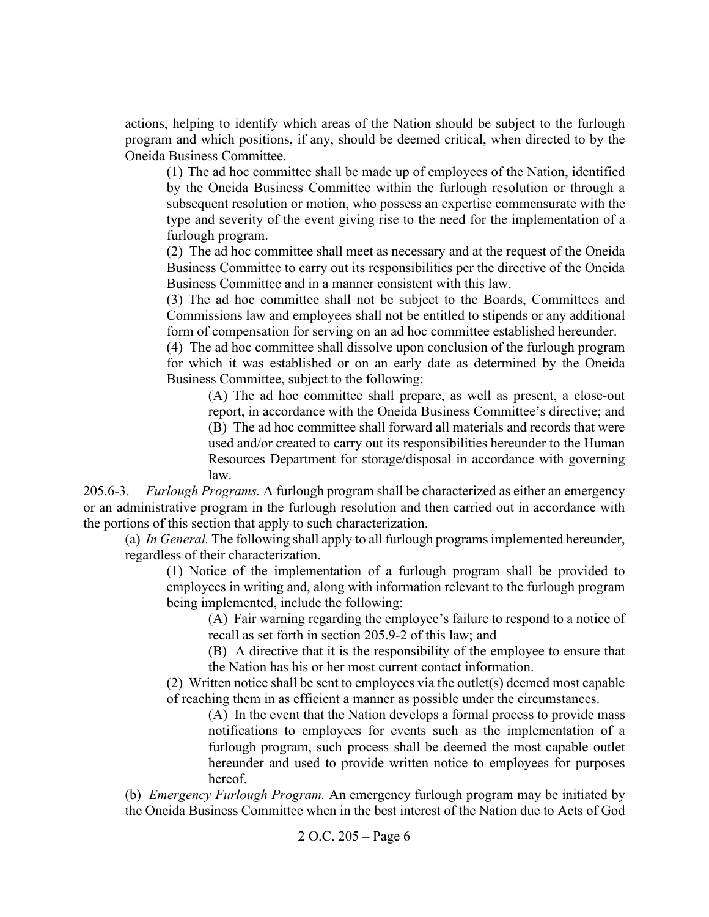actions, helping to identify which areas of the Nation should be subject to the furlough program and which positions, if any, should be deemed critical, when directed to by the Oneida Business Committee.

(1) The ad hoc committee shall be made up of employees of the Nation, identified by the Oneida Business Committee within the furlough resolution or through a subsequent resolution or motion, who possess an expertise commensurate with the type and severity of the event giving rise to the need for the implementation of a furlough program.

(2) The ad hoc committee shall meet as necessary and at the request of the Oneida Business Committee to carry out its responsibilities per the directive of the Oneida Business Committee and in a manner consistent with this law.

(3) The ad hoc committee shall not be subject to the Boards, Committees and Commissions law and employees shall not be entitled to stipends or any additional form of compensation for serving on an ad hoc committee established hereunder.

(4) The ad hoc committee shall dissolve upon conclusion of the furlough program for which it was established or on an early date as determined by the Oneida Business Committee, subject to the following:

(A) The ad hoc committee shall prepare, as well as present, a close-out report, in accordance with the Oneida Business Committee's directive; and

(B) The ad hoc committee shall forward all materials and records that were used and/or created to carry out its responsibilities hereunder to the Human Resources Department for storage/disposal in accordance with governing law.

205.6-3. *Furlough Programs.* A furlough program shall be characterized as either an emergency or an administrative program in the furlough resolution and then carried out in accordance with the portions of this section that apply to such characterization.

(a) *In General.* The following shall apply to all furlough programs implemented hereunder, regardless of their characterization.

(1) Notice of the implementation of a furlough program shall be provided to employees in writing and, along with information relevant to the furlough program being implemented, include the following:

(A) Fair warning regarding the employee's failure to respond to a notice of recall as set forth in section 205.9-2 of this law; and

(B) A directive that it is the responsibility of the employee to ensure that the Nation has his or her most current contact information.

(2) Written notice shall be sent to employees via the outlet(s) deemed most capable of reaching them in as efficient a manner as possible under the circumstances.

(A) In the event that the Nation develops a formal process to provide mass notifications to employees for events such as the implementation of a furlough program, such process shall be deemed the most capable outlet hereunder and used to provide written notice to employees for purposes hereof.

(b) *Emergency Furlough Program.* An emergency furlough program may be initiated by the Oneida Business Committee when in the best interest of the Nation due to Acts of God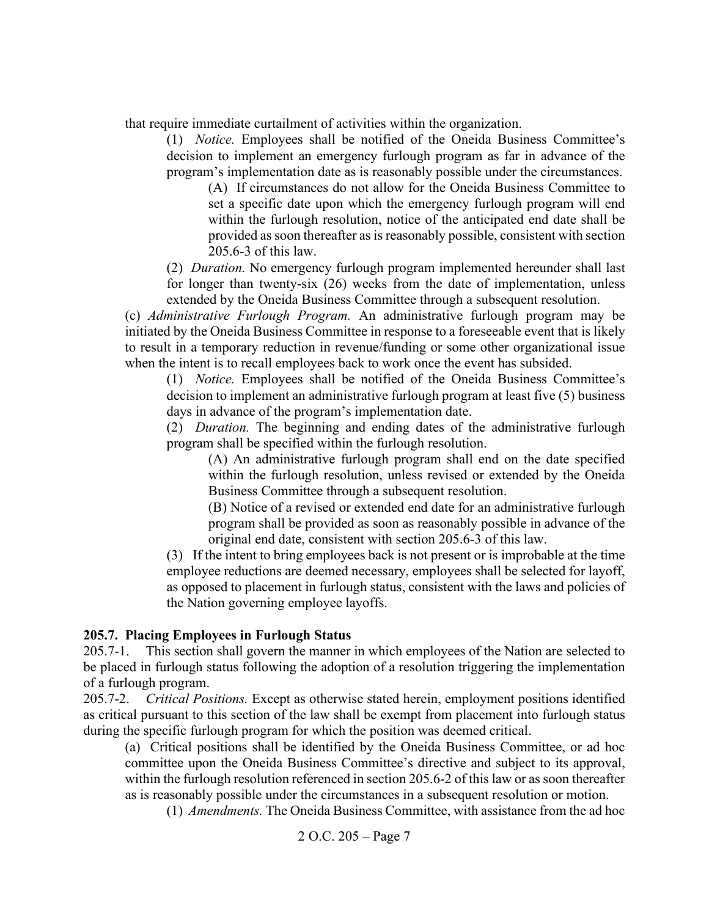that require immediate curtailment of activities within the organization.

(1) *Notice.* Employees shall be notified of the Oneida Business Committee's decision to implement an emergency furlough program as far in advance of the program's implementation date as is reasonably possible under the circumstances.

(A) If circumstances do not allow for the Oneida Business Committee to set a specific date upon which the emergency furlough program will end within the furlough resolution, notice of the anticipated end date shall be provided as soon thereafter as is reasonably possible, consistent with section 205.6-3 of this law.

(2) *Duration.* No emergency furlough program implemented hereunder shall last for longer than twenty-six (26) weeks from the date of implementation, unless extended by the Oneida Business Committee through a subsequent resolution.

(c) *Administrative Furlough Program.* An administrative furlough program may be initiated by the Oneida Business Committee in response to a foreseeable event that is likely to result in a temporary reduction in revenue/funding or some other organizational issue when the intent is to recall employees back to work once the event has subsided.

(1) *Notice.* Employees shall be notified of the Oneida Business Committee's decision to implement an administrative furlough program at least five (5) business days in advance of the program's implementation date.

(2) *Duration.* The beginning and ending dates of the administrative furlough program shall be specified within the furlough resolution.

(A) An administrative furlough program shall end on the date specified within the furlough resolution, unless revised or extended by the Oneida Business Committee through a subsequent resolution.

(B) Notice of a revised or extended end date for an administrative furlough program shall be provided as soon as reasonably possible in advance of the original end date, consistent with section 205.6-3 of this law.

(3) If the intent to bring employees back is not present or is improbable at the time employee reductions are deemed necessary, employees shall be selected for layoff, as opposed to placement in furlough status, consistent with the laws and policies of the Nation governing employee layoffs.

### **205.7. Placing Employees in Furlough Status**

205.7-1. This section shall govern the manner in which employees of the Nation are selected to be placed in furlough status following the adoption of a resolution triggering the implementation of a furlough program.

205.7-2. *Critical Positions.* Except as otherwise stated herein, employment positions identified as critical pursuant to this section of the law shall be exempt from placement into furlough status during the specific furlough program for which the position was deemed critical.

(a) Critical positions shall be identified by the Oneida Business Committee, or ad hoc committee upon the Oneida Business Committee's directive and subject to its approval, within the furlough resolution referenced in section 205.6-2 of this law or as soon thereafter as is reasonably possible under the circumstances in a subsequent resolution or motion.

(1) *Amendments.* The Oneida Business Committee, with assistance from the ad hoc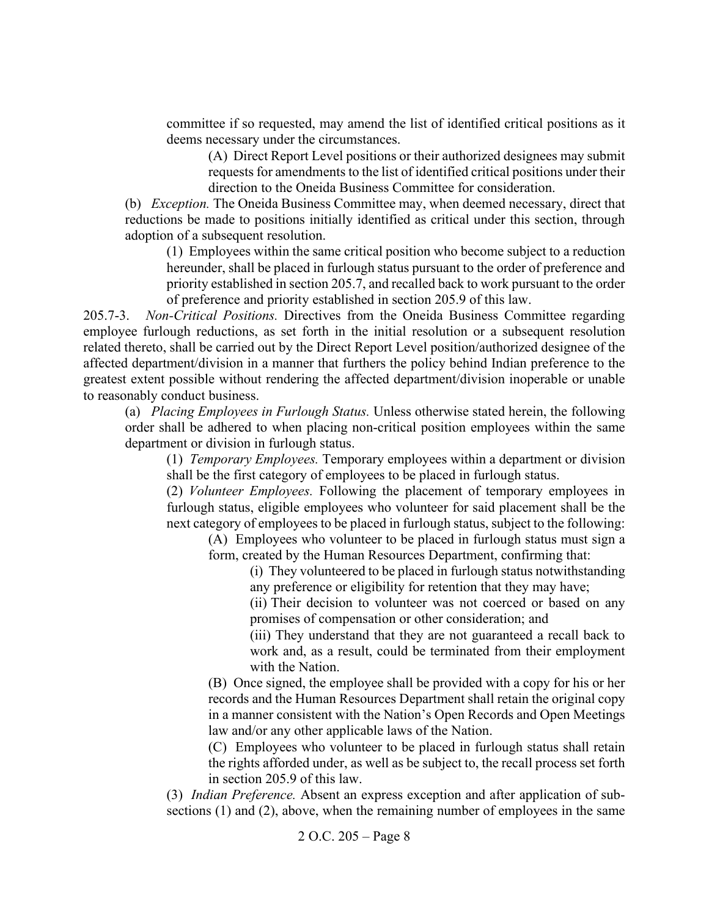committee if so requested, may amend the list of identified critical positions as it deems necessary under the circumstances.

(A) Direct Report Level positions or their authorized designees may submit requests for amendments to the list of identified critical positions under their direction to the Oneida Business Committee for consideration.

(b) *Exception.* The Oneida Business Committee may, when deemed necessary, direct that reductions be made to positions initially identified as critical under this section, through adoption of a subsequent resolution.

(1) Employees within the same critical position who become subject to a reduction hereunder, shall be placed in furlough status pursuant to the order of preference and priority established in section 205.7, and recalled back to work pursuant to the order of preference and priority established in section 205.9 of this law.

205.7-3. *Non-Critical Positions.* Directives from the Oneida Business Committee regarding employee furlough reductions, as set forth in the initial resolution or a subsequent resolution related thereto, shall be carried out by the Direct Report Level position/authorized designee of the affected department/division in a manner that furthers the policy behind Indian preference to the greatest extent possible without rendering the affected department/division inoperable or unable to reasonably conduct business.

(a) *Placing Employees in Furlough Status.* Unless otherwise stated herein, the following order shall be adhered to when placing non-critical position employees within the same department or division in furlough status.

(1) *Temporary Employees.* Temporary employees within a department or division shall be the first category of employees to be placed in furlough status.

(2) *Volunteer Employees.* Following the placement of temporary employees in furlough status, eligible employees who volunteer for said placement shall be the next category of employees to be placed in furlough status, subject to the following:

(A) Employees who volunteer to be placed in furlough status must sign a form, created by the Human Resources Department, confirming that:

(i) They volunteered to be placed in furlough status notwithstanding any preference or eligibility for retention that they may have;

(ii) Their decision to volunteer was not coerced or based on any promises of compensation or other consideration; and

(iii) They understand that they are not guaranteed a recall back to work and, as a result, could be terminated from their employment with the Nation.

(B) Once signed, the employee shall be provided with a copy for his or her records and the Human Resources Department shall retain the original copy in a manner consistent with the Nation's Open Records and Open Meetings law and/or any other applicable laws of the Nation.

(C) Employees who volunteer to be placed in furlough status shall retain the rights afforded under, as well as be subject to, the recall process set forth in section 205.9 of this law.

(3) *Indian Preference.* Absent an express exception and after application of subsections (1) and (2), above, when the remaining number of employees in the same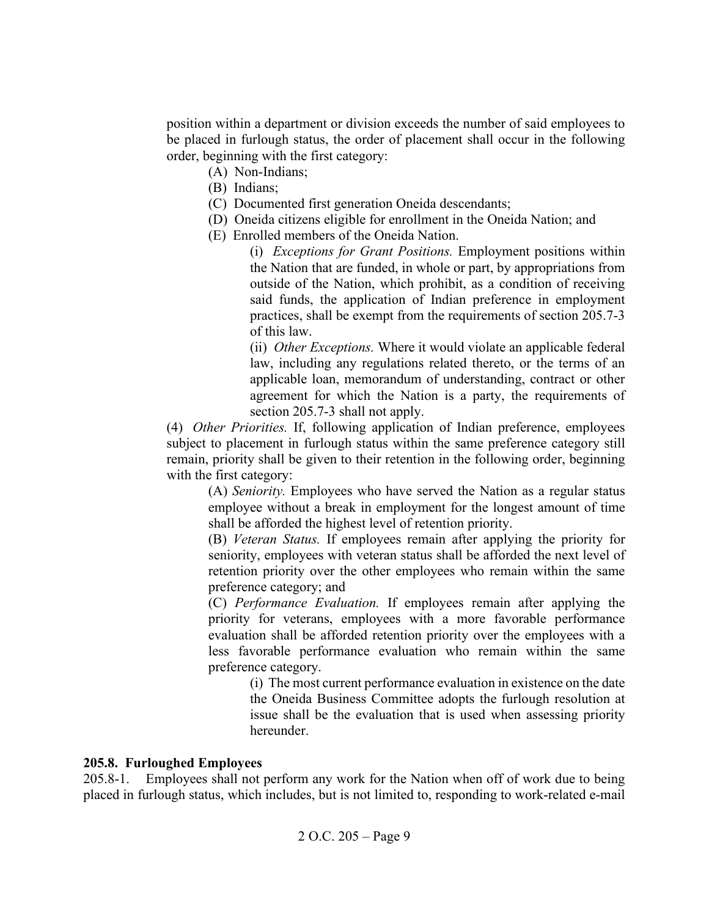position within a department or division exceeds the number of said employees to be placed in furlough status, the order of placement shall occur in the following order, beginning with the first category:

- (A) Non-Indians;
- (B) Indians;
- (C) Documented first generation Oneida descendants;
- (D) Oneida citizens eligible for enrollment in the Oneida Nation; and
- (E) Enrolled members of the Oneida Nation.

(i) *Exceptions for Grant Positions.* Employment positions within the Nation that are funded, in whole or part, by appropriations from outside of the Nation, which prohibit, as a condition of receiving said funds, the application of Indian preference in employment practices, shall be exempt from the requirements of section 205.7-3 of this law.

(ii) *Other Exceptions.* Where it would violate an applicable federal law, including any regulations related thereto, or the terms of an applicable loan, memorandum of understanding, contract or other agreement for which the Nation is a party, the requirements of section 205.7-3 shall not apply.

(4) *Other Priorities.* If, following application of Indian preference, employees subject to placement in furlough status within the same preference category still remain, priority shall be given to their retention in the following order, beginning with the first category:

(A) *Seniority.* Employees who have served the Nation as a regular status employee without a break in employment for the longest amount of time shall be afforded the highest level of retention priority.

(B) *Veteran Status.* If employees remain after applying the priority for seniority, employees with veteran status shall be afforded the next level of retention priority over the other employees who remain within the same preference category; and

(C) *Performance Evaluation.* If employees remain after applying the priority for veterans, employees with a more favorable performance evaluation shall be afforded retention priority over the employees with a less favorable performance evaluation who remain within the same preference category.

(i) The most current performance evaluation in existence on the date the Oneida Business Committee adopts the furlough resolution at issue shall be the evaluation that is used when assessing priority hereunder.

# **205.8. Furloughed Employees**

205.8-1. Employees shall not perform any work for the Nation when off of work due to being placed in furlough status, which includes, but is not limited to, responding to work-related e-mail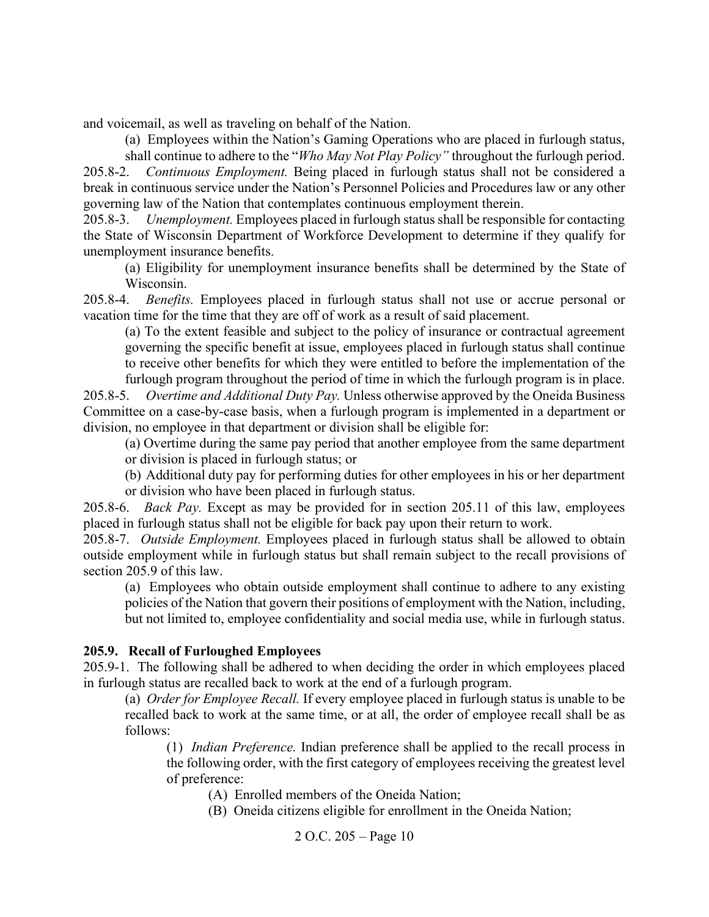and voicemail, as well as traveling on behalf of the Nation.

(a) Employees within the Nation's Gaming Operations who are placed in furlough status,

shall continue to adhere to the "*Who May Not Play Policy"* throughout the furlough period. 205.8-2. *Continuous Employment.* Being placed in furlough status shall not be considered a break in continuous service under the Nation's Personnel Policies and Procedures law or any other governing law of the Nation that contemplates continuous employment therein.

205.8-3. *Unemployment.* Employees placed in furlough status shall be responsible for contacting the State of Wisconsin Department of Workforce Development to determine if they qualify for unemployment insurance benefits.

(a) Eligibility for unemployment insurance benefits shall be determined by the State of Wisconsin.

205.8-4. *Benefits.* Employees placed in furlough status shall not use or accrue personal or vacation time for the time that they are off of work as a result of said placement.

(a) To the extent feasible and subject to the policy of insurance or contractual agreement governing the specific benefit at issue, employees placed in furlough status shall continue to receive other benefits for which they were entitled to before the implementation of the furlough program throughout the period of time in which the furlough program is in place.

205.8-5. *Overtime and Additional Duty Pay.* Unless otherwise approved by the Oneida Business Committee on a case-by-case basis, when a furlough program is implemented in a department or division, no employee in that department or division shall be eligible for:

(a) Overtime during the same pay period that another employee from the same department or division is placed in furlough status; or

(b) Additional duty pay for performing duties for other employees in his or her department or division who have been placed in furlough status.

205.8-6. *Back Pay.* Except as may be provided for in section 205.11 of this law, employees placed in furlough status shall not be eligible for back pay upon their return to work.

205.8-7. *Outside Employment.* Employees placed in furlough status shall be allowed to obtain outside employment while in furlough status but shall remain subject to the recall provisions of section 205.9 of this law.

(a) Employees who obtain outside employment shall continue to adhere to any existing policies of the Nation that govern their positions of employment with the Nation, including, but not limited to, employee confidentiality and social media use, while in furlough status.

### **205.9. Recall of Furloughed Employees**

205.9-1. The following shall be adhered to when deciding the order in which employees placed in furlough status are recalled back to work at the end of a furlough program.

(a) *Order for Employee Recall.* If every employee placed in furlough status is unable to be recalled back to work at the same time, or at all, the order of employee recall shall be as follows:

(1) *Indian Preference.* Indian preference shall be applied to the recall process in the following order, with the first category of employees receiving the greatest level of preference:

(A) Enrolled members of the Oneida Nation;

(B) Oneida citizens eligible for enrollment in the Oneida Nation;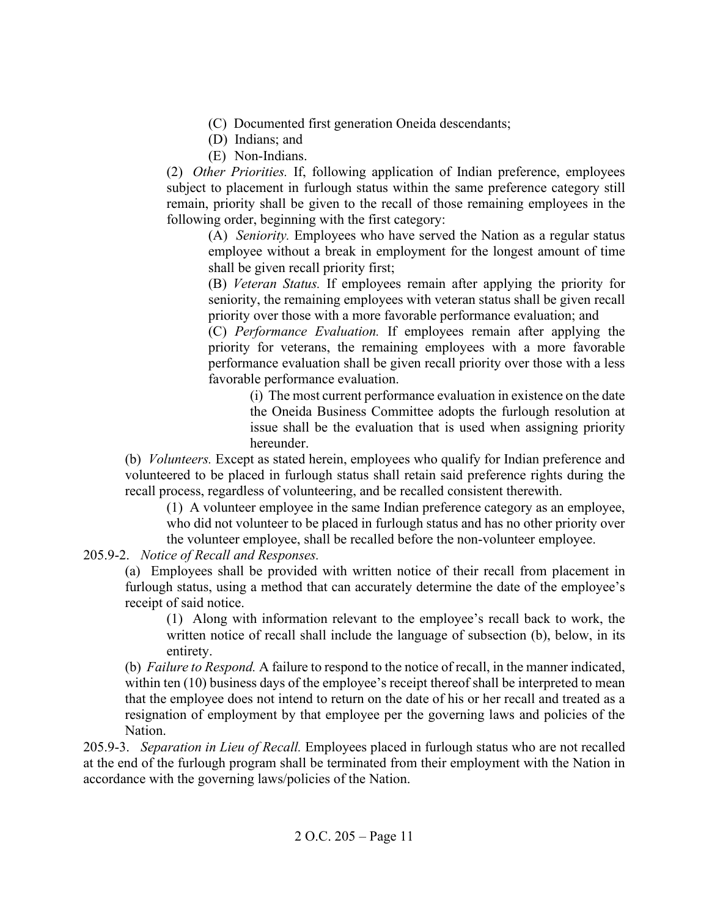- (C) Documented first generation Oneida descendants;
- (D) Indians; and
- (E) Non-Indians.

(2) *Other Priorities.* If, following application of Indian preference, employees subject to placement in furlough status within the same preference category still remain, priority shall be given to the recall of those remaining employees in the following order, beginning with the first category:

(A) *Seniority.* Employees who have served the Nation as a regular status employee without a break in employment for the longest amount of time shall be given recall priority first;

(B) *Veteran Status.* If employees remain after applying the priority for seniority, the remaining employees with veteran status shall be given recall priority over those with a more favorable performance evaluation; and

(C) *Performance Evaluation.* If employees remain after applying the priority for veterans, the remaining employees with a more favorable performance evaluation shall be given recall priority over those with a less favorable performance evaluation.

(i) The most current performance evaluation in existence on the date the Oneida Business Committee adopts the furlough resolution at issue shall be the evaluation that is used when assigning priority hereunder.

(b) *Volunteers.* Except as stated herein, employees who qualify for Indian preference and volunteered to be placed in furlough status shall retain said preference rights during the recall process, regardless of volunteering, and be recalled consistent therewith.

(1) A volunteer employee in the same Indian preference category as an employee, who did not volunteer to be placed in furlough status and has no other priority over the volunteer employee, shall be recalled before the non-volunteer employee.

205.9-2. *Notice of Recall and Responses.*

(a) Employees shall be provided with written notice of their recall from placement in furlough status, using a method that can accurately determine the date of the employee's receipt of said notice.

(1) Along with information relevant to the employee's recall back to work, the written notice of recall shall include the language of subsection (b), below, in its entirety.

(b) *Failure to Respond.* A failure to respond to the notice of recall, in the manner indicated, within ten (10) business days of the employee's receipt thereof shall be interpreted to mean that the employee does not intend to return on the date of his or her recall and treated as a resignation of employment by that employee per the governing laws and policies of the Nation.

205.9-3. *Separation in Lieu of Recall.* Employees placed in furlough status who are not recalled at the end of the furlough program shall be terminated from their employment with the Nation in accordance with the governing laws/policies of the Nation.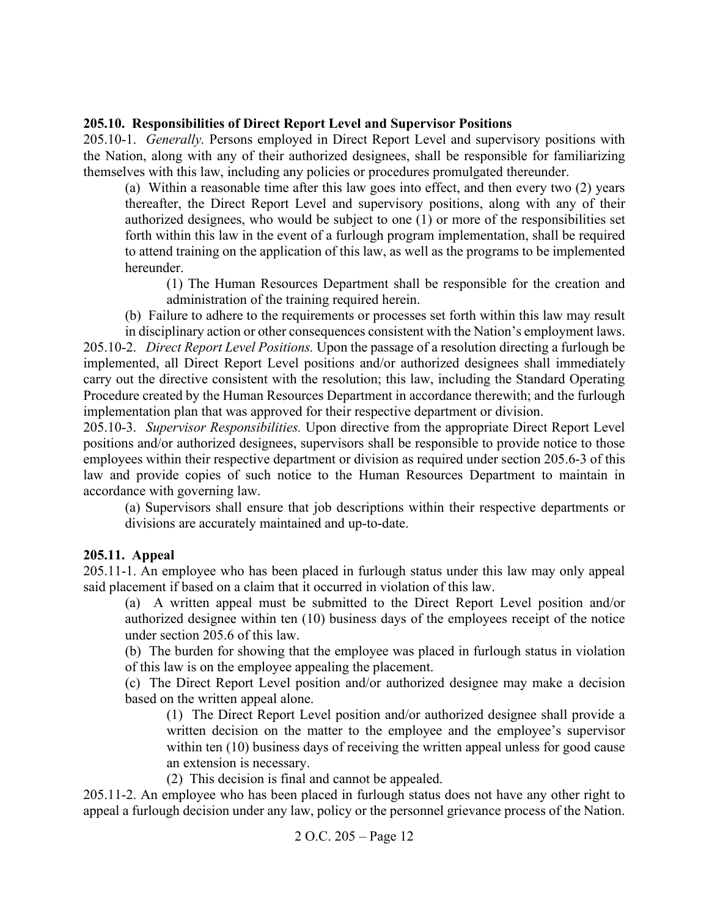### <span id="page-11-0"></span>**205.10. Responsibilities of Direct Report Level and Supervisor Positions**

205.10-1. *Generally.* Persons employed in Direct Report Level and supervisory positions with the Nation, along with any of their authorized designees, shall be responsible for familiarizing themselves with this law, including any policies or procedures promulgated thereunder.

(a) Within a reasonable time after this law goes into effect, and then every two (2) years thereafter, the Direct Report Level and supervisory positions, along with any of their authorized designees, who would be subject to one (1) or more of the responsibilities set forth within this law in the event of a furlough program implementation, shall be required to attend training on the application of this law, as well as the programs to be implemented hereunder.

(1) The Human Resources Department shall be responsible for the creation and administration of the training required herein.

(b) Failure to adhere to the requirements or processes set forth within this law may result

in disciplinary action or other consequences consistent with the Nation's employment laws. 205.10-2. *Direct Report Level Positions.* Upon the passage of a resolution directing a furlough be implemented, all Direct Report Level positions and/or authorized designees shall immediately carry out the directive consistent with the resolution; this law, including the Standard Operating Procedure created by the Human Resources Department in accordance therewith; and the furlough implementation plan that was approved for their respective department or division.

205.10-3. *Supervisor Responsibilities.* Upon directive from the appropriate Direct Report Level positions and/or authorized designees, supervisors shall be responsible to provide notice to those employees within their respective department or division as required under section 205.6-3 of this law and provide copies of such notice to the Human Resources Department to maintain in accordance with governing law.

(a) Supervisors shall ensure that job descriptions within their respective departments or divisions are accurately maintained and up-to-date.

### <span id="page-11-1"></span>**205.11. Appeal**

205.11-1. An employee who has been placed in furlough status under this law may only appeal said placement if based on a claim that it occurred in violation of this law.

(a) A written appeal must be submitted to the Direct Report Level position and/or authorized designee within ten (10) business days of the employees receipt of the notice under section 205.6 of this law.

(b) The burden for showing that the employee was placed in furlough status in violation of this law is on the employee appealing the placement.

(c) The Direct Report Level position and/or authorized designee may make a decision based on the written appeal alone.

(1) The Direct Report Level position and/or authorized designee shall provide a written decision on the matter to the employee and the employee's supervisor within ten (10) business days of receiving the written appeal unless for good cause an extension is necessary.

(2) This decision is final and cannot be appealed.

205.11-2. An employee who has been placed in furlough status does not have any other right to appeal a furlough decision under any law, policy or the personnel grievance process of the Nation.